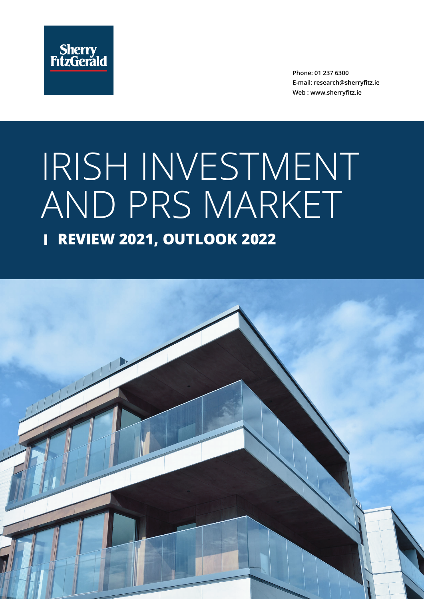

**Phone: 01 237 6300 E-mail: research@sherryfitz.ie Web : www.sherryfitz.ie**

# IRISH INVESTMENT AND PRS MARKET

## **REVIEW 2021, OUTLOOK 2022**

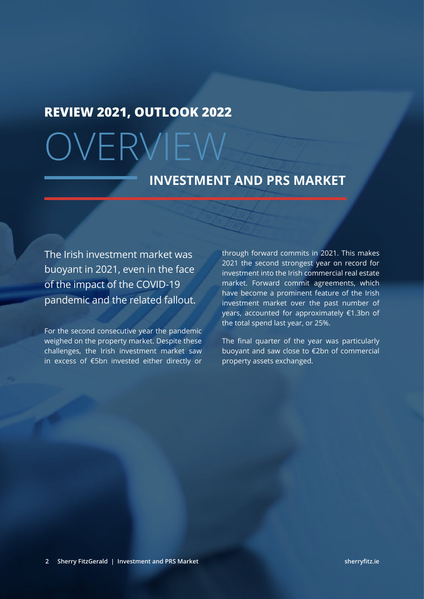## **REVIEW 2021, OUTLOOK 2022**

# OVERVIEW

## **INVESTMENT AND PRS MARKET**

The Irish investment market was buoyant in 2021, even in the face of the impact of the COVID-19 pandemic and the related fallout.

For the second consecutive year the pandemic weighed on the property market. Despite these challenges, the Irish investment market saw in excess of €5bn invested either directly or through forward commits in 2021. This makes 2021 the second strongest year on record for investment into the Irish commercial real estate market. Forward commit agreements, which have become a prominent feature of the Irish investment market over the past number of years, accounted for approximately €1.3bn of the total spend last year, or 25%.

The final quarter of the year was particularly buoyant and saw close to €2bn of commercial property assets exchanged.